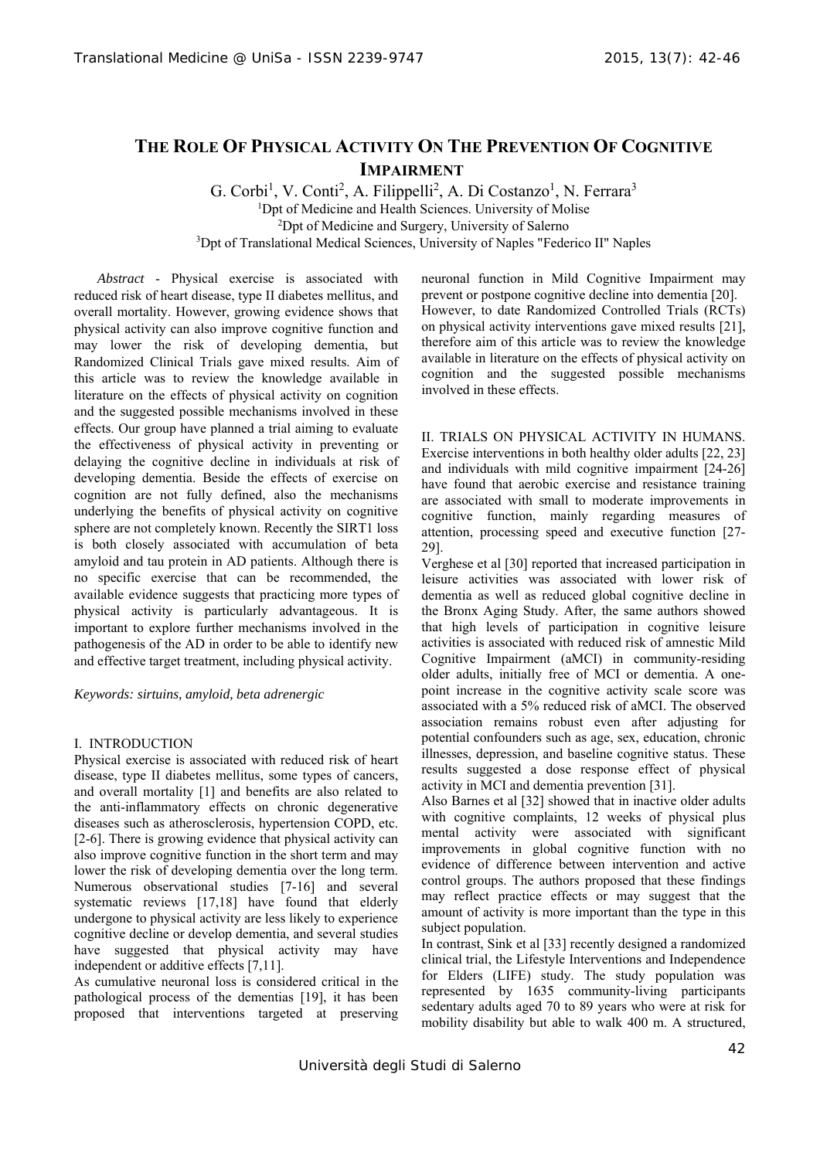# **THE ROLE OF PHYSICAL ACTIVITY ON THE PREVENTION OF COGNITIVE IMPAIRMENT**

G. Corbi<sup>1</sup>, V. Conti<sup>2</sup>, A. Filippelli<sup>2</sup>, A. Di Costanzo<sup>1</sup>, N. Ferrara<sup>3</sup> <sup>1</sup>Dpt of Medicine and Health Sciences. University of Molise <sup>2</sup><br><sup>2</sup>Dpt of Medicine and Surgery, University of Salerno <sup>2</sup>Dpt of Medicine and Surgery, University of Salerno 3 Dpt of Translational Medical Sciences, University of Naples "Federico II" Naples

*Abstract* - Physical exercise is associated with reduced risk of heart disease, type II diabetes mellitus, and overall mortality. However, growing evidence shows that physical activity can also improve cognitive function and may lower the risk of developing dementia, but Randomized Clinical Trials gave mixed results. Aim of this article was to review the knowledge available in literature on the effects of physical activity on cognition and the suggested possible mechanisms involved in these effects. Our group have planned a trial aiming to evaluate the effectiveness of physical activity in preventing or delaying the cognitive decline in individuals at risk of developing dementia. Beside the effects of exercise on cognition are not fully defined, also the mechanisms underlying the benefits of physical activity on cognitive sphere are not completely known. Recently the SIRT1 loss is both closely associated with accumulation of beta amyloid and tau protein in AD patients. Although there is no specific exercise that can be recommended, the available evidence suggests that practicing more types of physical activity is particularly advantageous. It is important to explore further mechanisms involved in the pathogenesis of the AD in order to be able to identify new and effective target treatment, including physical activity.

*Keywords: sirtuins, amyloid, beta adrenergic* 

### I. INTRODUCTION

Physical exercise is associated with reduced risk of heart disease, type II diabetes mellitus, some types of cancers, and overall mortality [1] and benefits are also related to the anti-inflammatory effects on chronic degenerative diseases such as atherosclerosis, hypertension COPD, etc. [2-6]. There is growing evidence that physical activity can also improve cognitive function in the short term and may lower the risk of developing dementia over the long term. Numerous observational studies [7-16] and several systematic reviews [17,18] have found that elderly undergone to physical activity are less likely to experience cognitive decline or develop dementia, and several studies have suggested that physical activity may have independent or additive effects [7,11].

As cumulative neuronal loss is considered critical in the pathological process of the dementias [19], it has been proposed that interventions targeted at preserving neuronal function in Mild Cognitive Impairment may prevent or postpone cognitive decline into dementia [20]. However, to date Randomized Controlled Trials (RCTs) on physical activity interventions gave mixed results [21], therefore aim of this article was to review the knowledge available in literature on the effects of physical activity on cognition and the suggested possible mechanisms involved in these effects.

II. TRIALS ON PHYSICAL ACTIVITY IN HUMANS. Exercise interventions in both healthy older adults [22, 23] and individuals with mild cognitive impairment [24-26] have found that aerobic exercise and resistance training are associated with small to moderate improvements in cognitive function, mainly regarding measures of attention, processing speed and executive function [27- 29].

Verghese et al [30] reported that increased participation in leisure activities was associated with lower risk of dementia as well as reduced global cognitive decline in the Bronx Aging Study. After, the same authors showed that high levels of participation in cognitive leisure activities is associated with reduced risk of amnestic Mild Cognitive Impairment (aMCI) in community-residing older adults, initially free of MCI or dementia. A onepoint increase in the cognitive activity scale score was associated with a 5% reduced risk of aMCI. The observed association remains robust even after adjusting for potential confounders such as age, sex, education, chronic illnesses, depression, and baseline cognitive status. These results suggested a dose response effect of physical activity in MCI and dementia prevention [31].

Also Barnes et al [32] showed that in inactive older adults with cognitive complaints, 12 weeks of physical plus mental activity were associated with significant improvements in global cognitive function with no evidence of difference between intervention and active control groups. The authors proposed that these findings may reflect practice effects or may suggest that the amount of activity is more important than the type in this subject population.

In contrast, Sink et al [33] recently designed a randomized clinical trial, the Lifestyle Interventions and Independence for Elders (LIFE) study. The study population was represented by 1635 community-living participants sedentary adults aged 70 to 89 years who were at risk for mobility disability but able to walk 400 m. A structured,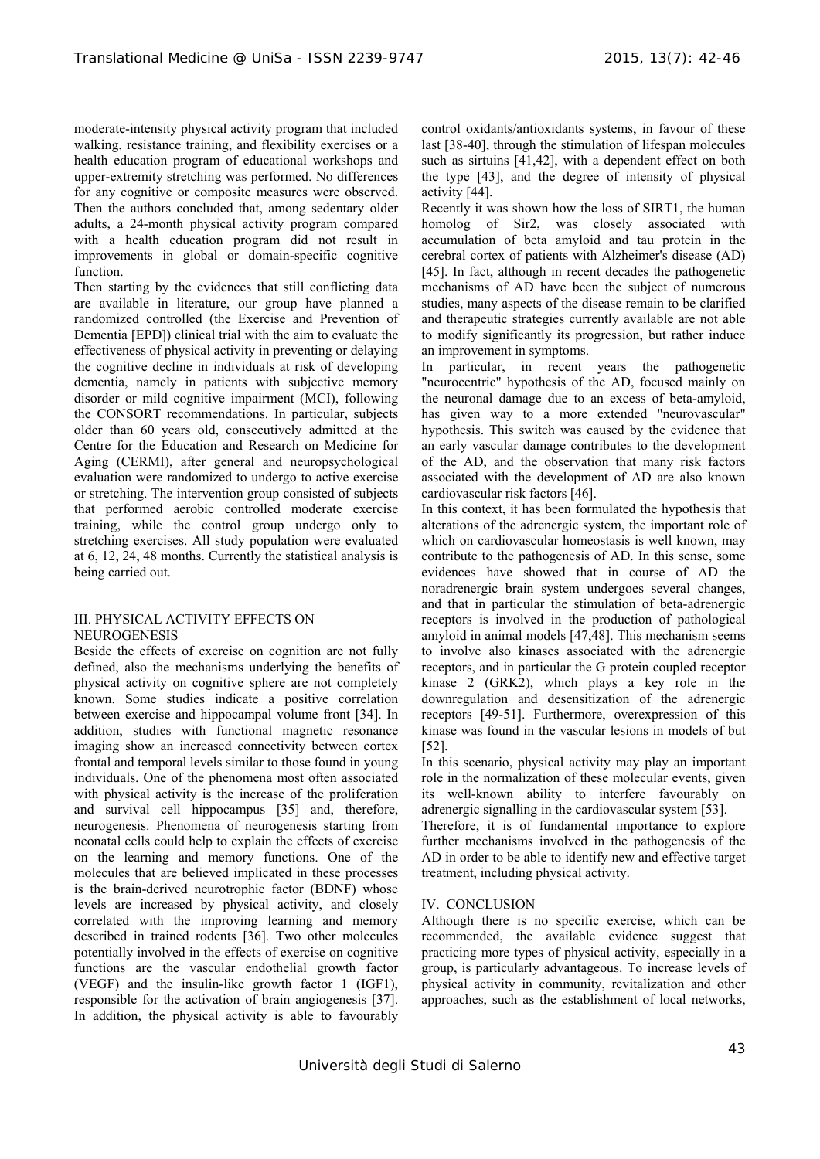moderate-intensity physical activity program that included walking, resistance training, and flexibility exercises or a health education program of educational workshops and upper-extremity stretching was performed. No differences for any cognitive or composite measures were observed. Then the authors concluded that, among sedentary older adults, a 24-month physical activity program compared with a health education program did not result in improvements in global or domain-specific cognitive function.

Then starting by the evidences that still conflicting data are available in literature, our group have planned a randomized controlled (the Exercise and Prevention of Dementia [EPD]) clinical trial with the aim to evaluate the effectiveness of physical activity in preventing or delaying the cognitive decline in individuals at risk of developing dementia, namely in patients with subjective memory disorder or mild cognitive impairment (MCI), following the CONSORT recommendations. In particular, subjects older than 60 years old, consecutively admitted at the Centre for the Education and Research on Medicine for Aging (CERMI), after general and neuropsychological evaluation were randomized to undergo to active exercise or stretching. The intervention group consisted of subjects that performed aerobic controlled moderate exercise training, while the control group undergo only to stretching exercises. All study population were evaluated at 6, 12, 24, 48 months. Currently the statistical analysis is being carried out.

### III. PHYSICAL ACTIVITY EFFECTS ON NEUROGENESIS

Beside the effects of exercise on cognition are not fully defined, also the mechanisms underlying the benefits of physical activity on cognitive sphere are not completely known. Some studies indicate a positive correlation between exercise and hippocampal volume front [34]. In addition, studies with functional magnetic resonance imaging show an increased connectivity between cortex frontal and temporal levels similar to those found in young individuals. One of the phenomena most often associated with physical activity is the increase of the proliferation and survival cell hippocampus [35] and, therefore, neurogenesis. Phenomena of neurogenesis starting from neonatal cells could help to explain the effects of exercise on the learning and memory functions. One of the molecules that are believed implicated in these processes is the brain-derived neurotrophic factor (BDNF) whose levels are increased by physical activity, and closely correlated with the improving learning and memory described in trained rodents [36]. Two other molecules potentially involved in the effects of exercise on cognitive functions are the vascular endothelial growth factor (VEGF) and the insulin-like growth factor 1 (IGF1), responsible for the activation of brain angiogenesis [37]. In addition, the physical activity is able to favourably control oxidants/antioxidants systems, in favour of these last [38-40], through the stimulation of lifespan molecules such as sirtuins [41,42], with a dependent effect on both the type [43], and the degree of intensity of physical activity [44].

Recently it was shown how the loss of SIRT1, the human homolog of Sir2, was closely associated with accumulation of beta amyloid and tau protein in the cerebral cortex of patients with Alzheimer's disease (AD) [45]. In fact, although in recent decades the pathogenetic mechanisms of AD have been the subject of numerous studies, many aspects of the disease remain to be clarified and therapeutic strategies currently available are not able to modify significantly its progression, but rather induce an improvement in symptoms.

In particular, in recent years the pathogenetic "neurocentric" hypothesis of the AD, focused mainly on the neuronal damage due to an excess of beta-amyloid, has given way to a more extended "neurovascular" hypothesis. This switch was caused by the evidence that an early vascular damage contributes to the development of the AD, and the observation that many risk factors associated with the development of AD are also known cardiovascular risk factors [46].

In this context, it has been formulated the hypothesis that alterations of the adrenergic system, the important role of which on cardiovascular homeostasis is well known, may contribute to the pathogenesis of AD. In this sense, some evidences have showed that in course of AD the noradrenergic brain system undergoes several changes, and that in particular the stimulation of beta-adrenergic receptors is involved in the production of pathological amyloid in animal models [47,48]. This mechanism seems to involve also kinases associated with the adrenergic receptors, and in particular the G protein coupled receptor kinase 2 (GRK2), which plays a key role in the downregulation and desensitization of the adrenergic receptors [49-51]. Furthermore, overexpression of this kinase was found in the vascular lesions in models of but [52].

In this scenario, physical activity may play an important role in the normalization of these molecular events, given its well-known ability to interfere favourably on adrenergic signalling in the cardiovascular system [53].

Therefore, it is of fundamental importance to explore further mechanisms involved in the pathogenesis of the AD in order to be able to identify new and effective target treatment, including physical activity.

## IV. CONCLUSION

Although there is no specific exercise, which can be recommended, the available evidence suggest that practicing more types of physical activity, especially in a group, is particularly advantageous. To increase levels of physical activity in community, revitalization and other approaches, such as the establishment of local networks,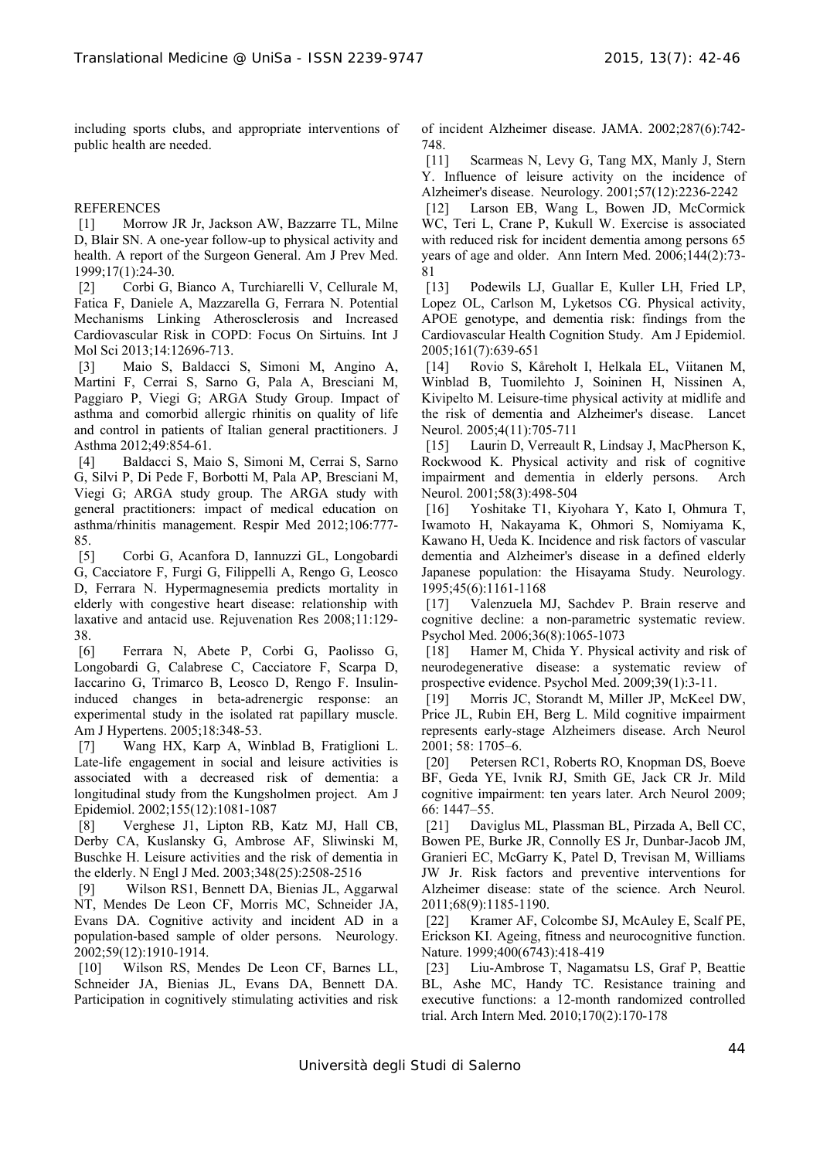including sports clubs, and appropriate interventions of public health are needed.

#### **REFERENCES**

[1] Morrow JR Jr, Jackson AW, Bazzarre TL, Milne D, Blair SN. A one-year follow-up to physical activity and health. A report of the Surgeon General. Am J Prev Med. 1999;17(1):24-30.

[2] Corbi G, Bianco A, Turchiarelli V, Cellurale M, Fatica F, Daniele A, Mazzarella G, Ferrara N. Potential Mechanisms Linking Atherosclerosis and Increased Cardiovascular Risk in COPD: Focus On Sirtuins. Int J Mol Sci 2013;14:12696-713.

[3] Maio S, Baldacci S, Simoni M, Angino A, Martini F, Cerrai S, Sarno G, Pala A, Bresciani M, Paggiaro P, Viegi G; ARGA Study Group. Impact of asthma and comorbid allergic rhinitis on quality of life and control in patients of Italian general practitioners. J Asthma 2012;49:854-61.

[4] Baldacci S, Maio S, Simoni M, Cerrai S, Sarno G, Silvi P, Di Pede F, Borbotti M, Pala AP, Bresciani M, Viegi G; ARGA study group. The ARGA study with general practitioners: impact of medical education on asthma/rhinitis management. Respir Med 2012;106:777- 85.

[5] Corbi G, Acanfora D, Iannuzzi GL, Longobardi G, Cacciatore F, Furgi G, Filippelli A, Rengo G, Leosco D, Ferrara N. Hypermagnesemia predicts mortality in elderly with congestive heart disease: relationship with laxative and antacid use. Rejuvenation Res 2008;11:129- 38.

[6] Ferrara N, Abete P, Corbi G, Paolisso G, Longobardi G, Calabrese C, Cacciatore F, Scarpa D, Iaccarino G, Trimarco B, Leosco D, Rengo F. Insulininduced changes in beta-adrenergic response: an experimental study in the isolated rat papillary muscle. Am J Hypertens. 2005;18:348-53.

[7] Wang HX, Karp A, Winblad B, Fratiglioni L. Late-life engagement in social and leisure activities is associated with a decreased risk of dementia: a longitudinal study from the Kungsholmen project. Am J Epidemiol. 2002;155(12):1081-1087

[8] Verghese J1, Lipton RB, Katz MJ, Hall CB, Derby CA, Kuslansky G, Ambrose AF, Sliwinski M, Buschke H. Leisure activities and the risk of dementia in the elderly. N Engl J Med. 2003;348(25):2508-2516

[9] Wilson RS1, Bennett DA, Bienias JL, Aggarwal NT, Mendes De Leon CF, Morris MC, Schneider JA, Evans DA. Cognitive activity and incident AD in a population-based sample of older persons. Neurology. 2002;59(12):1910-1914.

[10] Wilson RS, Mendes De Leon CF, Barnes LL, Schneider JA, Bienias JL, Evans DA, Bennett DA. Participation in cognitively stimulating activities and risk of incident Alzheimer disease. JAMA. 2002;287(6):742- 748.

[11] Scarmeas N, Levy G, Tang MX, Manly J, Stern Y. Influence of leisure activity on the incidence of Alzheimer's disease. Neurology. 2001;57(12):2236-2242

[12] Larson EB, Wang L, Bowen JD, McCormick WC, Teri L, Crane P, Kukull W. Exercise is associated with reduced risk for incident dementia among persons 65 years of age and older. Ann Intern Med. 2006;144(2):73- 81

[13] Podewils LJ, Guallar E, Kuller LH, Fried LP, Lopez OL, Carlson M, Lyketsos CG. Physical activity, APOE genotype, and dementia risk: findings from the Cardiovascular Health Cognition Study. Am J Epidemiol. 2005;161(7):639-651

[14] Rovio S, Kåreholt I, Helkala EL, Viitanen M, Winblad B, Tuomilehto J, Soininen H, Nissinen A, Kivipelto M. Leisure-time physical activity at midlife and the risk of dementia and Alzheimer's disease. Lancet Neurol. 2005;4(11):705-711

[15] Laurin D, Verreault R, Lindsay J, MacPherson K, Rockwood K. Physical activity and risk of cognitive impairment and dementia in elderly persons. Arch Neurol. 2001;58(3):498-504

[16] Yoshitake T1, Kiyohara Y, Kato I, Ohmura T, Iwamoto H, Nakayama K, Ohmori S, Nomiyama K, Kawano H, Ueda K. Incidence and risk factors of vascular dementia and Alzheimer's disease in a defined elderly Japanese population: the Hisayama Study. Neurology. 1995;45(6):1161-1168

[17] Valenzuela MJ, Sachdev P. Brain reserve and cognitive decline: a non-parametric systematic review. Psychol Med. 2006;36(8):1065-1073

[18] Hamer M, Chida Y. Physical activity and risk of neurodegenerative disease: a systematic review of prospective evidence. Psychol Med. 2009;39(1):3-11.

[19] Morris JC, Storandt M, Miller JP, McKeel DW, Price JL, Rubin EH, Berg L. Mild cognitive impairment represents early-stage Alzheimers disease. Arch Neurol 2001; 58: 1705–6.

[20] Petersen RC1, Roberts RO, Knopman DS, Boeve BF, Geda YE, Ivnik RJ, Smith GE, Jack CR Jr. Mild cognitive impairment: ten years later. Arch Neurol 2009; 66: 1447–55.

[21] Daviglus ML, Plassman BL, Pirzada A, Bell CC, Bowen PE, Burke JR, Connolly ES Jr, Dunbar-Jacob JM, Granieri EC, McGarry K, Patel D, Trevisan M, Williams JW Jr. Risk factors and preventive interventions for Alzheimer disease: state of the science. Arch Neurol. 2011;68(9):1185-1190.

[22] Kramer AF, Colcombe SJ, McAuley E, Scalf PE, Erickson KI. Ageing, fitness and neurocognitive function. Nature. 1999;400(6743):418-419

[23] Liu-Ambrose T, Nagamatsu LS, Graf P, Beattie BL, Ashe MC, Handy TC. Resistance training and executive functions: a 12-month randomized controlled trial. Arch Intern Med. 2010;170(2):170-178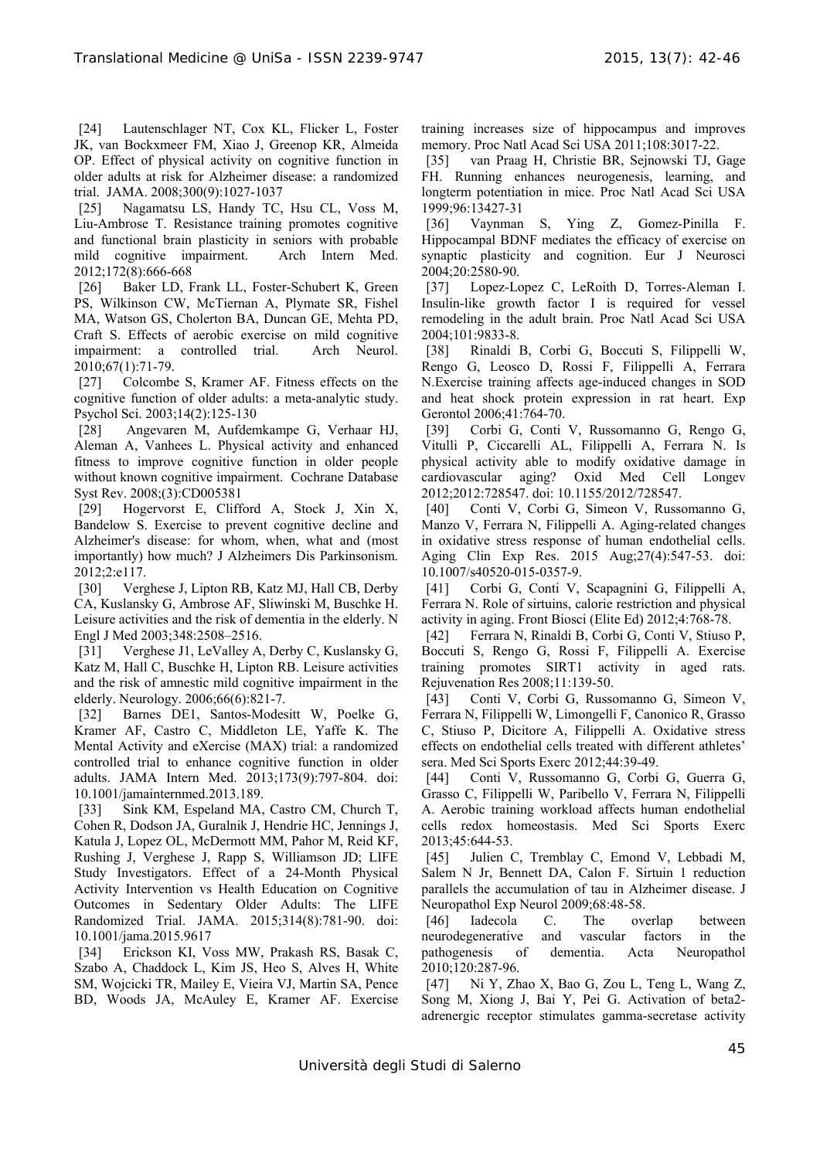[24] Lautenschlager NT, Cox KL, Flicker L, Foster JK, van Bockxmeer FM, Xiao J, Greenop KR, Almeida OP. Effect of physical activity on cognitive function in older adults at risk for Alzheimer disease: a randomized trial. JAMA. 2008;300(9):1027-1037

[25] Nagamatsu LS, Handy TC, Hsu CL, Voss M, Liu-Ambrose T. Resistance training promotes cognitive and functional brain plasticity in seniors with probable mild cognitive impairment. Arch Intern Med. 2012;172(8):666-668

[26] Baker LD, Frank LL, Foster-Schubert K, Green PS, Wilkinson CW, McTiernan A, Plymate SR, Fishel MA, Watson GS, Cholerton BA, Duncan GE, Mehta PD, Craft S. Effects of aerobic exercise on mild cognitive impairment: a controlled trial. Arch Neurol. 2010;67(1):71-79.

[27] Colcombe S, Kramer AF. Fitness effects on the cognitive function of older adults: a meta-analytic study. Psychol Sci. 2003;14(2):125-130

[28] Angevaren M, Aufdemkampe G, Verhaar HJ, Aleman A, Vanhees L. Physical activity and enhanced fitness to improve cognitive function in older people without known cognitive impairment. Cochrane Database Syst Rev. 2008;(3):CD005381

[29] Hogervorst E, Clifford A, Stock J, Xin X, Bandelow S. Exercise to prevent cognitive decline and Alzheimer's disease: for whom, when, what and (most importantly) how much? J Alzheimers Dis Parkinsonism. 2012;2:e117.

[30] Verghese J, Lipton RB, Katz MJ, Hall CB, Derby CA, Kuslansky G, Ambrose AF, Sliwinski M, Buschke H. Leisure activities and the risk of dementia in the elderly. N Engl J Med 2003;348:2508–2516.

[31] Verghese J1, LeValley A, Derby C, Kuslansky G, Katz M, Hall C, Buschke H, Lipton RB. Leisure activities and the risk of amnestic mild cognitive impairment in the elderly. Neurology. 2006;66(6):821-7.

[32] Barnes DE1, Santos-Modesitt W, Poelke G, Kramer AF, Castro C, Middleton LE, Yaffe K. The Mental Activity and eXercise (MAX) trial: a randomized controlled trial to enhance cognitive function in older adults. JAMA Intern Med. 2013;173(9):797-804. doi: 10.1001/jamainternmed.2013.189.

[33] Sink KM, Espeland MA, Castro CM, Church T, Cohen R, Dodson JA, Guralnik J, Hendrie HC, Jennings J, Katula J, Lopez OL, McDermott MM, Pahor M, Reid KF, Rushing J, Verghese J, Rapp S, Williamson JD; LIFE Study Investigators. Effect of a 24-Month Physical Activity Intervention vs Health Education on Cognitive Outcomes in Sedentary Older Adults: The LIFE Randomized Trial. JAMA. 2015;314(8):781-90. doi: 10.1001/jama.2015.9617

[34] Erickson KI, Voss MW, Prakash RS, Basak C, Szabo A, Chaddock L, Kim JS, Heo S, Alves H, White SM, Wojcicki TR, Mailey E, Vieira VJ, Martin SA, Pence BD, Woods JA, McAuley E, Kramer AF. Exercise

training increases size of hippocampus and improves memory. Proc Natl Acad Sci USA 2011;108:3017-22.

[35] van Praag H, Christie BR, Sejnowski TJ, Gage FH. Running enhances neurogenesis, learning, and longterm potentiation in mice. Proc Natl Acad Sci USA 1999;96:13427-31

[36] Vaynman S, Ying Z, Gomez-Pinilla F. Hippocampal BDNF mediates the efficacy of exercise on synaptic plasticity and cognition. Eur J Neurosci 2004;20:2580-90.

[37] Lopez-Lopez C, LeRoith D, Torres-Aleman I. Insulin-like growth factor I is required for vessel remodeling in the adult brain. Proc Natl Acad Sci USA 2004;101:9833-8.

[38] Rinaldi B, Corbi G, Boccuti S, Filippelli W, Rengo G, Leosco D, Rossi F, Filippelli A, Ferrara N.Exercise training affects age-induced changes in SOD and heat shock protein expression in rat heart. Exp Gerontol 2006;41:764-70.

[39] Corbi G, Conti V, Russomanno G, Rengo G, Vitulli P, Ciccarelli AL, Filippelli A, Ferrara N. Is physical activity able to modify oxidative damage in cardiovascular aging? Oxid Med Cell Longev 2012;2012:728547. doi: 10.1155/2012/728547.

[40] Conti V, Corbi G, Simeon V, Russomanno G, Manzo V, Ferrara N, Filippelli A. Aging-related changes in oxidative stress response of human endothelial cells. Aging Clin Exp Res. 2015 Aug;27(4):547-53. doi: 10.1007/s40520-015-0357-9.

[41] Corbi G, Conti V, Scapagnini G, Filippelli A, Ferrara N. Role of sirtuins, calorie restriction and physical activity in aging. Front Biosci (Elite Ed) 2012;4:768-78.

[42] Ferrara N, Rinaldi B, Corbi G, Conti V, Stiuso P, Boccuti S, Rengo G, Rossi F, Filippelli A. Exercise training promotes SIRT1 activity in aged rats. Rejuvenation Res 2008;11:139-50.

[43] Conti V, Corbi G, Russomanno G, Simeon V, Ferrara N, Filippelli W, Limongelli F, Canonico R, Grasso C, Stiuso P, Dicitore A, Filippelli A. Oxidative stress effects on endothelial cells treated with different athletes' sera. Med Sci Sports Exerc 2012;44:39-49.

[44] Conti V, Russomanno G, Corbi G, Guerra G, Grasso C, Filippelli W, Paribello V, Ferrara N, Filippelli A. Aerobic training workload affects human endothelial cells redox homeostasis. Med Sci Sports Exerc 2013;45:644-53.

[45] Julien C, Tremblay C, Emond V, Lebbadi M, Salem N Jr, Bennett DA, Calon F. Sirtuin 1 reduction parallels the accumulation of tau in Alzheimer disease. J Neuropathol Exp Neurol 2009;68:48-58.

[46] Iadecola C. The overlap between neurodegenerative and vascular factors in the pathogenesis of dementia. Acta Neuropathol 2010;120:287-96.

[47] Ni Y, Zhao X, Bao G, Zou L, Teng L, Wang Z, Song M, Xiong J, Bai Y, Pei G. Activation of beta2 adrenergic receptor stimulates gamma-secretase activity